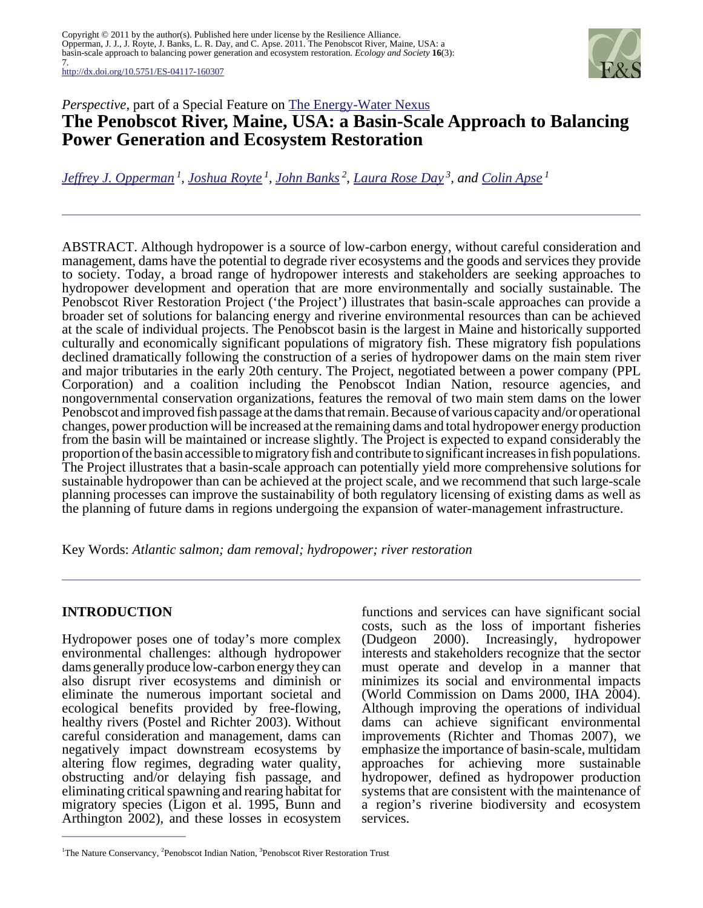<http://dx.doi.org/10.5751/ES-04117-160307>



# *Perspective*, part of a Special Feature on [The Energy-Water Nexus](http://www.ecologyandsociety.org/viewissue.php?sf=61) **The Penobscot River, Maine, USA: a Basin-Scale Approach to Balancing Power Generation and Ecosystem Restoration**

*[Jeffrey J. Opperman](mailto:jopperman@tnc.org)<sup>1</sup> , [Joshua Royte](mailto:capse@tnc.org)<sup>1</sup> , [John Banks](mailto:John.Banks@penobscotnation.org)<sup>2</sup> , [Laura Rose Day](mailto:laura@penobscotriver.org)<sup>3</sup>, and [Colin Apse](mailto:jroyte@tnc.org)<sup>1</sup>*

ABSTRACT. Although hydropower is a source of low-carbon energy, without careful consideration and management, dams have the potential to degrade river ecosystems and the goods and services they provide to society. Today, a broad range of hydropower interests and stakeholders are seeking approaches to hydropower development and operation that are more environmentally and socially sustainable. The Penobscot River Restoration Project ('the Project') illustrates that basin-scale approaches can provide a broader set of solutions for balancing energy and riverine environmental resources than can be achieved at the scale of individual projects. The Penobscot basin is the largest in Maine and historically supported culturally and economically significant populations of migratory fish. These migratory fish populations declined dramatically following the construction of a series of hydropower dams on the main stem river and major tributaries in the early 20th century. The Project, negotiated between a power company (PPL Corporation) and a coalition including the Penobscot Indian Nation, resource agencies, and nongovernmental conservation organizations, features the removal of two main stem dams on the lower Penobscot and improved fish passage at the dams that remain. Because of various capacity and/or operational changes, power production will be increased at the remaining dams and total hydropower energy production from the basin will be maintained or increase slightly. The Project is expected to expand considerably the proportion of the basin accessible to migratory fish and contribute to significant increases in fish populations. The Project illustrates that a basin-scale approach can potentially yield more comprehensive solutions for sustainable hydropower than can be achieved at the project scale, and we recommend that such large-scale planning processes can improve the sustainability of both regulatory licensing of existing dams as well as the planning of future dams in regions undergoing the expansion of water-management infrastructure.

Key Words: *Atlantic salmon; dam removal; hydropower; river restoration* 

## **INTRODUCTION**

Hydropower poses one of today's more complex environmental challenges: although hydropower dams generally produce low-carbon energy they can also disrupt river ecosystems and diminish or eliminate the numerous important societal and ecological benefits provided by free-flowing, healthy rivers (Postel and Richter 2003). Without careful consideration and management, dams can negatively impact downstream ecosystems by altering flow regimes, degrading water quality, obstructing and/or delaying fish passage, and eliminating critical spawning and rearing habitat for migratory species (Ligon et al. 1995, Bunn and Arthington 2002), and these losses in ecosystem

functions and services can have significant social costs, such as the loss of important fisheries<br>(Dudgeon 2000). Increasingly, hydropower (Dudgeon 2000). Increasingly, hydropower interests and stakeholders recognize that the sector must operate and develop in a manner that minimizes its social and environmental impacts (World Commission on Dams 2000, IHA 2004). Although improving the operations of individual dams can achieve significant environmental improvements (Richter and Thomas 2007), we emphasize the importance of basin-scale, multidam approaches for achieving more sustainable hydropower, defined as hydropower production systems that are consistent with the maintenance of a region's riverine biodiversity and ecosystem services.

<sup>&</sup>lt;sup>1</sup>The Nature Conservancy, <sup>2</sup>Penobscot Indian Nation, <sup>3</sup>Penobscot River Restoration Trust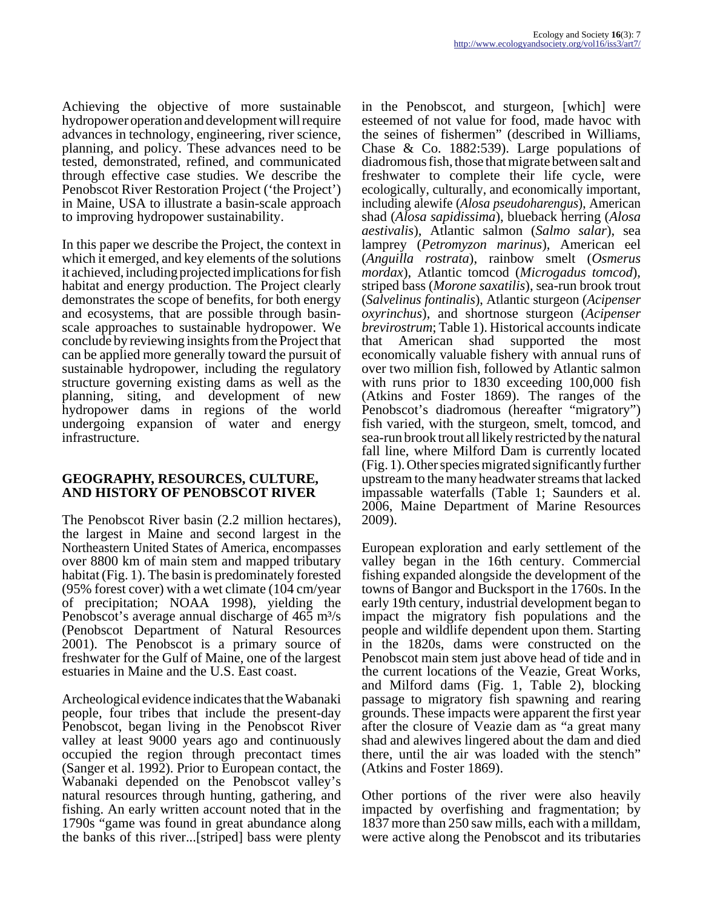Achieving the objective of more sustainable hydropower operation and development will require advances in technology, engineering, river science, planning, and policy. These advances need to be tested, demonstrated, refined, and communicated through effective case studies. We describe the Penobscot River Restoration Project ('the Project') in Maine, USA to illustrate a basin-scale approach to improving hydropower sustainability.

In this paper we describe the Project, the context in which it emerged, and key elements of the solutions it achieved, including projected implications for fish habitat and energy production. The Project clearly demonstrates the scope of benefits, for both energy and ecosystems, that are possible through basinscale approaches to sustainable hydropower. We conclude by reviewing insights from the Project that can be applied more generally toward the pursuit of sustainable hydropower, including the regulatory structure governing existing dams as well as the planning, siting, and development of new hydropower dams in regions of the world undergoing expansion of water and energy infrastructure.

## **GEOGRAPHY, RESOURCES, CULTURE, AND HISTORY OF PENOBSCOT RIVER**

The Penobscot River basin (2.2 million hectares), the largest in Maine and second largest in the Northeastern United States of America, encompasses over 8800 km of main stem and mapped tributary habitat (Fig. 1). The basin is predominately forested (95% forest cover) with a wet climate (104 cm/year of precipitation; NOAA 1998), yielding the Penobscot's average annual discharge of  $465 \text{ m}^3\text{/s}$ (Penobscot Department of Natural Resources 2001). The Penobscot is a primary source of freshwater for the Gulf of Maine, one of the largest estuaries in Maine and the U.S. East coast.

Archeological evidence indicates that the Wabanaki people, four tribes that include the present-day Penobscot, began living in the Penobscot River valley at least 9000 years ago and continuously occupied the region through precontact times (Sanger et al. 1992). Prior to European contact, the Wabanaki depended on the Penobscot valley's natural resources through hunting, gathering, and fishing. An early written account noted that in the 1790s "game was found in great abundance along the banks of this river...[striped] bass were plenty

in the Penobscot, and sturgeon, [which] were esteemed of not value for food, made havoc with the seines of fishermen" (described in Williams, Chase & Co. 1882:539). Large populations of diadromous fish, those that migrate between salt and freshwater to complete their life cycle, were ecologically, culturally, and economically important, including alewife (*Alosa pseudoharengus*), American shad (*Alosa sapidissima*), blueback herring (*Alosa aestivalis*), Atlantic salmon (*Salmo salar*), sea lamprey (*Petromyzon marinus*), American eel (*Anguilla rostrata*), rainbow smelt (*Osmerus mordax*), Atlantic tomcod (*Microgadus tomcod*), striped bass (*Morone saxatilis*), sea-run brook trout (*Salvelinus fontinalis*), Atlantic sturgeon (*Acipenser oxyrinchus*), and shortnose sturgeon (*Acipenser brevirostrum*; Table 1). Historical accounts indicate that American shad supported the most economically valuable fishery with annual runs of over two million fish, followed by Atlantic salmon with runs prior to 1830 exceeding 100,000 fish (Atkins and Foster 1869). The ranges of the Penobscot's diadromous (hereafter "migratory") fish varied, with the sturgeon, smelt, tomcod, and sea-run brook trout all likely restricted by the natural fall line, where Milford Dam is currently located (Fig. 1). Other species migrated significantly further upstream to the many headwater streams that lacked impassable waterfalls (Table 1; Saunders et al. 2006, Maine Department of Marine Resources 2009).

European exploration and early settlement of the valley began in the 16th century. Commercial fishing expanded alongside the development of the towns of Bangor and Bucksport in the 1760s. In the early 19th century, industrial development began to impact the migratory fish populations and the people and wildlife dependent upon them. Starting in the 1820s, dams were constructed on the Penobscot main stem just above head of tide and in the current locations of the Veazie, Great Works, and Milford dams (Fig. 1, Table 2), blocking passage to migratory fish spawning and rearing grounds. These impacts were apparent the first year after the closure of Veazie dam as "a great many shad and alewives lingered about the dam and died there, until the air was loaded with the stench" (Atkins and Foster 1869).

Other portions of the river were also heavily impacted by overfishing and fragmentation; by 1837 more than 250 saw mills, each with a milldam, were active along the Penobscot and its tributaries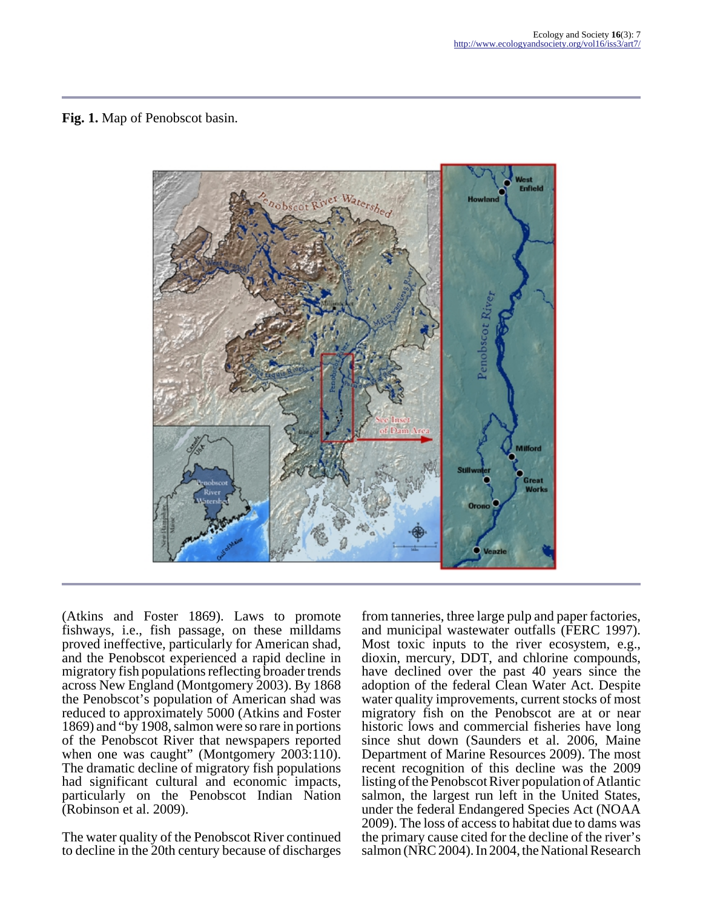## **Fig. 1.** Map of Penobscot basin.



(Atkins and Foster 1869). Laws to promote fishways, i.e., fish passage, on these milldams proved ineffective, particularly for American shad, and the Penobscot experienced a rapid decline in migratory fish populations reflecting broader trends across New England (Montgomery 2003). By 1868 the Penobscot's population of American shad was reduced to approximately 5000 (Atkins and Foster 1869) and "by 1908, salmon were so rare in portions of the Penobscot River that newspapers reported when one was caught" (Montgomery 2003:110). The dramatic decline of migratory fish populations had significant cultural and economic impacts, particularly on the Penobscot Indian Nation (Robinson et al. 2009).

The water quality of the Penobscot River continued to decline in the 20th century because of discharges

from tanneries, three large pulp and paper factories, and municipal wastewater outfalls (FERC 1997). Most toxic inputs to the river ecosystem, e.g., dioxin, mercury, DDT, and chlorine compounds, have declined over the past 40 years since the adoption of the federal Clean Water Act. Despite water quality improvements, current stocks of most migratory fish on the Penobscot are at or near historic lows and commercial fisheries have long since shut down (Saunders et al. 2006, Maine Department of Marine Resources 2009). The most recent recognition of this decline was the 2009 listing of the Penobscot River population of Atlantic salmon, the largest run left in the United States, under the federal Endangered Species Act (NOAA 2009). The loss of access to habitat due to dams was the primary cause cited for the decline of the river's salmon (NRC 2004). In 2004, the National Research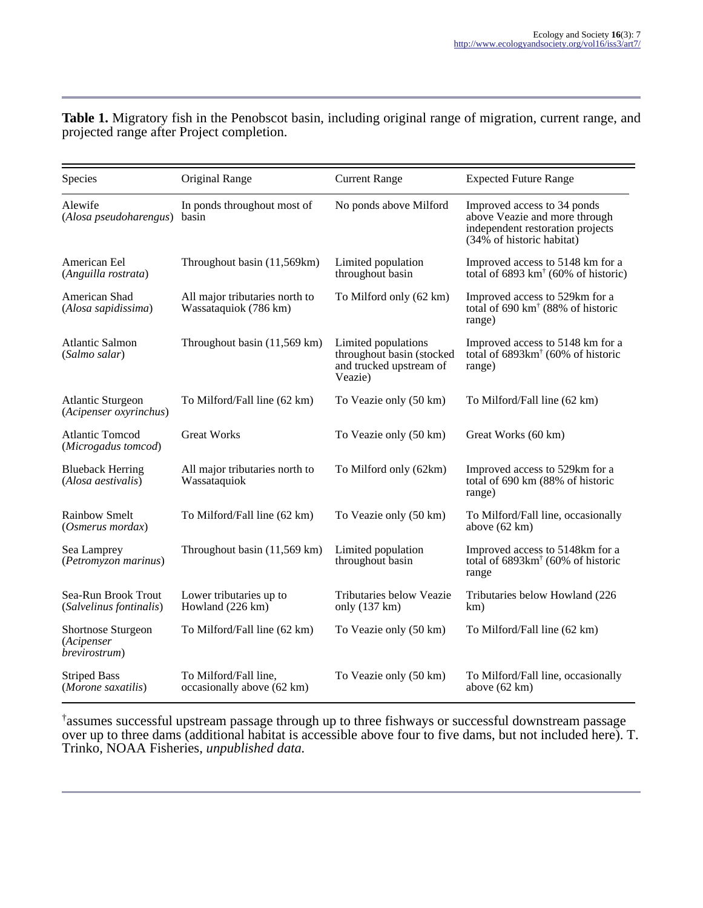**Table 1.** Migratory fish in the Penobscot basin, including original range of migration, current range, and projected range after Project completion.

| Species                                            | Original Range                                          | <b>Current Range</b>                                                                   | <b>Expected Future Range</b>                                                                                                  |
|----------------------------------------------------|---------------------------------------------------------|----------------------------------------------------------------------------------------|-------------------------------------------------------------------------------------------------------------------------------|
| Alewife<br>(Alosa pseudoharengus)                  | In ponds throughout most of<br>basin                    | No ponds above Milford                                                                 | Improved access to 34 ponds<br>above Veazie and more through<br>independent restoration projects<br>(34% of historic habitat) |
| American Eel<br>(Anguilla rostrata)                | Throughout basin (11,569km)                             | Limited population<br>throughout basin                                                 | Improved access to 5148 km for a<br>total of 6893 $km^{\dagger}$ (60% of historic)                                            |
| American Shad<br>(Alosa sapidissima)               | All major tributaries north to<br>Wassataquiok (786 km) | To Milford only (62 km)                                                                | Improved access to 529km for a<br>total of 690 $km^{\dagger}$ (88% of historic<br>range)                                      |
| <b>Atlantic Salmon</b><br>(Salmo salar)            | Throughout basin (11,569 km)                            | Limited populations<br>throughout basin (stocked<br>and trucked upstream of<br>Veazie) | Improved access to 5148 km for a<br>total of 6893km <sup>†</sup> (60% of historic<br>range)                                   |
| <b>Atlantic Sturgeon</b><br>(Acipenser oxyrinchus) | To Milford/Fall line (62 km)                            | To Veazie only (50 km)                                                                 | To Milford/Fall line (62 km)                                                                                                  |
| <b>Atlantic Tomcod</b><br>(Microgadus tomcod)      | <b>Great Works</b>                                      | To Veazie only (50 km)                                                                 | Great Works (60 km)                                                                                                           |
| <b>Blueback Herring</b><br>(Alosa aestivalis)      | All major tributaries north to<br>Wassataquiok          | To Milford only (62km)                                                                 | Improved access to 529km for a<br>total of 690 km (88% of historic<br>range)                                                  |
| <b>Rainbow Smelt</b><br>(Osmerus mordax)           | To Milford/Fall line (62 km)                            | To Veazie only (50 km)                                                                 | To Milford/Fall line, occasionally<br>above (62 km)                                                                           |
| Sea Lamprey<br>(Petromyzon marinus)                | Throughout basin (11,569 km)                            | Limited population<br>throughout basin                                                 | Improved access to 5148km for a<br>total of 6893km <sup>†</sup> (60% of historic<br>range                                     |
| Sea-Run Brook Trout<br>(Salvelinus fontinalis)     | Lower tributaries up to<br>Howland (226 km)             | Tributaries below Veazie<br>only (137 km)                                              | Tributaries below Howland (226<br>km)                                                                                         |
| Shortnose Sturgeon<br>(Acipenser<br>brevirostrum)  | To Milford/Fall line (62 km)                            | To Veazie only (50 km)                                                                 | To Milford/Fall line (62 km)                                                                                                  |
| <b>Striped Bass</b><br>(Morone saxatilis)          | To Milford/Fall line,<br>occasionally above (62 km)     | To Veazie only (50 km)                                                                 | To Milford/Fall line, occasionally<br>above $(62 \text{ km})$                                                                 |

† assumes successful upstream passage through up to three fishways or successful downstream passage over up to three dams (additional habitat is accessible above four to five dams, but not included here). T. Trinko, NOAA Fisheries, *unpublished data.*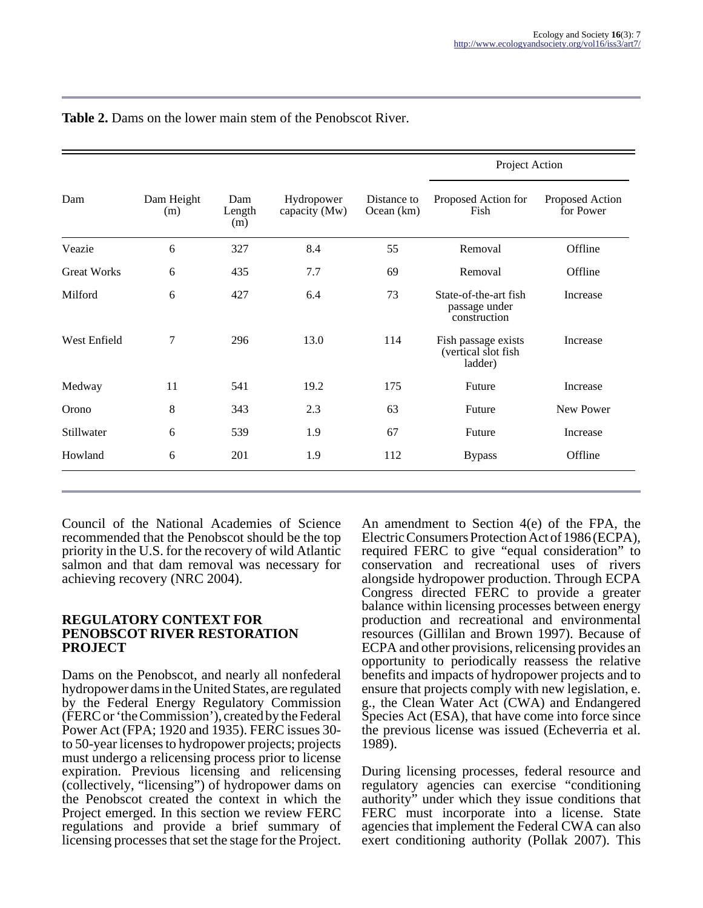| Dam                |                   | Dam<br>Length<br>(m) | Hydropower<br>capacity (Mw) | Distance to<br>Ocean $(km)$ | Project Action                                         |                              |
|--------------------|-------------------|----------------------|-----------------------------|-----------------------------|--------------------------------------------------------|------------------------------|
|                    | Dam Height<br>(m) |                      |                             |                             | Proposed Action for<br>Fish                            | Proposed Action<br>for Power |
| Veazie             | 6                 | 327                  | 8.4                         | 55                          | Removal                                                | Offline                      |
| <b>Great Works</b> | 6                 | 435                  | 7.7                         | 69                          | Removal                                                | Offline                      |
| Milford            | 6                 | 427                  | 6.4                         | 73                          | State-of-the-art fish<br>passage under<br>construction | Increase                     |
| West Enfield       | 7                 | 296                  | 13.0                        | 114                         | Fish passage exists<br>(vertical slot fish<br>ladder)  | Increase                     |
| Medway             | 11                | 541                  | 19.2                        | 175                         | Future                                                 | Increase                     |
| Orono              | 8                 | 343                  | 2.3                         | 63                          | Future                                                 | New Power                    |
| Stillwater         | 6                 | 539                  | 1.9                         | 67                          | Future                                                 | Increase                     |
| Howland            | 6                 | 201                  | 1.9                         | 112                         | <b>Bypass</b>                                          | Offline                      |

**Table 2.** Dams on the lower main stem of the Penobscot River.

Council of the National Academies of Science recommended that the Penobscot should be the top priority in the U.S. for the recovery of wild Atlantic salmon and that dam removal was necessary for achieving recovery (NRC 2004).

#### **REGULATORY CONTEXT FOR PENOBSCOT RIVER RESTORATION PROJECT**

Dams on the Penobscot, and nearly all nonfederal hydropower dams in the United States, are regulated by the Federal Energy Regulatory Commission (FERC or 'the Commission'), created by the Federal Power Act (FPA; 1920 and 1935). FERC issues 30 to 50-year licenses to hydropower projects; projects must undergo a relicensing process prior to license expiration. Previous licensing and relicensing (collectively, "licensing") of hydropower dams on the Penobscot created the context in which the Project emerged. In this section we review FERC regulations and provide a brief summary of licensing processes that set the stage for the Project.

An amendment to Section 4(e) of the FPA, the Electric Consumers Protection Act of 1986 (ECPA), required FERC to give "equal consideration" to conservation and recreational uses of rivers alongside hydropower production. Through ECPA Congress directed FERC to provide a greater balance within licensing processes between energy production and recreational and environmental resources (Gillilan and Brown 1997). Because of ECPA and other provisions, relicensing provides an opportunity to periodically reassess the relative benefits and impacts of hydropower projects and to ensure that projects comply with new legislation, e. g., the Clean Water Act (CWA) and Endangered Species Act (ESA), that have come into force since the previous license was issued (Echeverria et al. 1989).

During licensing processes, federal resource and regulatory agencies can exercise "conditioning authority" under which they issue conditions that FERC must incorporate into a license. State agencies that implement the Federal CWA can also exert conditioning authority (Pollak 2007). This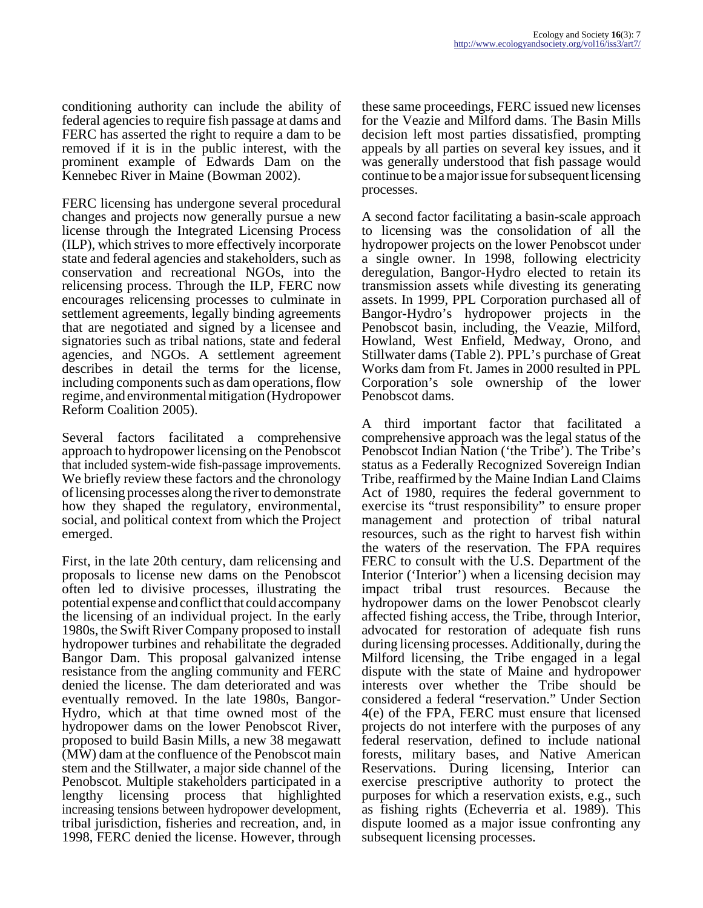conditioning authority can include the ability of federal agencies to require fish passage at dams and FERC has asserted the right to require a dam to be removed if it is in the public interest, with the prominent example of Edwards Dam on the Kennebec River in Maine (Bowman 2002).

FERC licensing has undergone several procedural changes and projects now generally pursue a new license through the Integrated Licensing Process (ILP), which strives to more effectively incorporate state and federal agencies and stakeholders, such as conservation and recreational NGOs, into the relicensing process. Through the ILP, FERC now encourages relicensing processes to culminate in settlement agreements, legally binding agreements that are negotiated and signed by a licensee and signatories such as tribal nations, state and federal agencies, and NGOs. A settlement agreement describes in detail the terms for the license, including components such as dam operations, flow regime, and environmental mitigation (Hydropower Reform Coalition 2005).

Several factors facilitated a comprehensive approach to hydropower licensing on the Penobscot that included system-wide fish-passage improvements. We briefly review these factors and the chronology of licensing processes along the river to demonstrate how they shaped the regulatory, environmental, social, and political context from which the Project emerged.

First, in the late 20th century, dam relicensing and proposals to license new dams on the Penobscot often led to divisive processes, illustrating the potential expense and conflict that could accompany the licensing of an individual project. In the early 1980s, the Swift River Company proposed to install hydropower turbines and rehabilitate the degraded Bangor Dam. This proposal galvanized intense resistance from the angling community and FERC denied the license. The dam deteriorated and was eventually removed. In the late 1980s, Bangor-Hydro, which at that time owned most of the hydropower dams on the lower Penobscot River, proposed to build Basin Mills, a new 38 megawatt (MW) dam at the confluence of the Penobscot main stem and the Stillwater, a major side channel of the Penobscot. Multiple stakeholders participated in a lengthy licensing process that highlighted increasing tensions between hydropower development, tribal jurisdiction, fisheries and recreation, and, in 1998, FERC denied the license. However, through these same proceedings, FERC issued new licenses for the Veazie and Milford dams. The Basin Mills decision left most parties dissatisfied, prompting appeals by all parties on several key issues, and it was generally understood that fish passage would continue to be a major issue for subsequent licensing processes.

A second factor facilitating a basin-scale approach to licensing was the consolidation of all the hydropower projects on the lower Penobscot under a single owner. In 1998, following electricity deregulation, Bangor-Hydro elected to retain its transmission assets while divesting its generating assets. In 1999, PPL Corporation purchased all of Bangor-Hydro's hydropower projects in the Penobscot basin, including, the Veazie, Milford, Howland, West Enfield, Medway, Orono, and Stillwater dams (Table 2). PPL's purchase of Great Works dam from Ft. James in 2000 resulted in PPL Corporation's sole ownership of the lower Penobscot dams.

A third important factor that facilitated a comprehensive approach was the legal status of the Penobscot Indian Nation ('the Tribe'). The Tribe's status as a Federally Recognized Sovereign Indian Tribe, reaffirmed by the Maine Indian Land Claims Act of 1980, requires the federal government to exercise its "trust responsibility" to ensure proper management and protection of tribal natural resources, such as the right to harvest fish within the waters of the reservation. The FPA requires FERC to consult with the U.S. Department of the Interior ('Interior') when a licensing decision may impact tribal trust resources. Because the hydropower dams on the lower Penobscot clearly affected fishing access, the Tribe, through Interior, advocated for restoration of adequate fish runs during licensing processes. Additionally, during the Milford licensing, the Tribe engaged in a legal dispute with the state of Maine and hydropower interests over whether the Tribe should be considered a federal "reservation." Under Section 4(e) of the FPA, FERC must ensure that licensed projects do not interfere with the purposes of any federal reservation, defined to include national forests, military bases, and Native American Reservations. During licensing, Interior can exercise prescriptive authority to protect the purposes for which a reservation exists, e.g., such as fishing rights (Echeverria et al. 1989). This dispute loomed as a major issue confronting any subsequent licensing processes.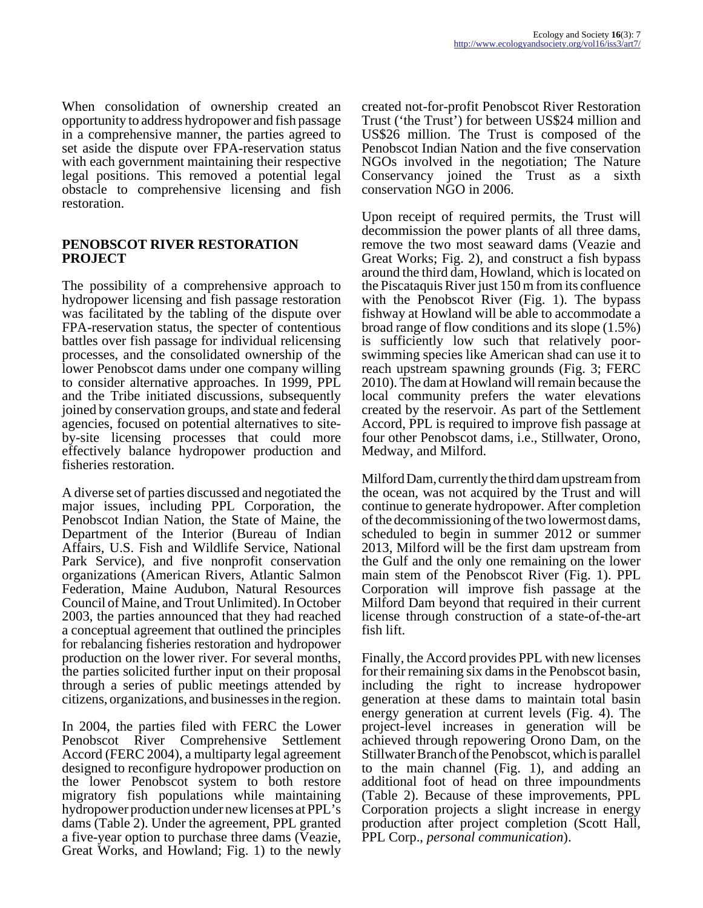When consolidation of ownership created an opportunity to address hydropower and fish passage in a comprehensive manner, the parties agreed to set aside the dispute over FPA-reservation status with each government maintaining their respective legal positions. This removed a potential legal obstacle to comprehensive licensing and fish restoration.

#### **PENOBSCOT RIVER RESTORATION PROJECT**

The possibility of a comprehensive approach to hydropower licensing and fish passage restoration was facilitated by the tabling of the dispute over FPA-reservation status, the specter of contentious battles over fish passage for individual relicensing processes, and the consolidated ownership of the lower Penobscot dams under one company willing to consider alternative approaches. In 1999, PPL and the Tribe initiated discussions, subsequently joined by conservation groups, and state and federal agencies, focused on potential alternatives to siteby-site licensing processes that could more effectively balance hydropower production and fisheries restoration.

A diverse set of parties discussed and negotiated the major issues, including PPL Corporation, the Penobscot Indian Nation, the State of Maine, the Department of the Interior (Bureau of Indian Affairs, U.S. Fish and Wildlife Service, National Park Service), and five nonprofit conservation organizations (American Rivers, Atlantic Salmon Federation, Maine Audubon, Natural Resources Council of Maine, and Trout Unlimited). In October 2003, the parties announced that they had reached a conceptual agreement that outlined the principles for rebalancing fisheries restoration and hydropower production on the lower river. For several months, the parties solicited further input on their proposal through a series of public meetings attended by citizens, organizations, and businesses in the region.

In 2004, the parties filed with FERC the Lower Penobscot River Comprehensive Settlement Accord (FERC 2004), a multiparty legal agreement designed to reconfigure hydropower production on the lower Penobscot system to both restore migratory fish populations while maintaining hydropower production under new licenses at PPL's dams (Table 2). Under the agreement, PPL granted a five-year option to purchase three dams (Veazie, Great Works, and Howland; Fig. 1) to the newly

created not-for-profit Penobscot River Restoration Trust ('the Trust') for between US\$24 million and US\$26 million. The Trust is composed of the Penobscot Indian Nation and the five conservation NGOs involved in the negotiation; The Nature Conservancy joined the Trust as a sixth conservation NGO in 2006.

Upon receipt of required permits, the Trust will decommission the power plants of all three dams, remove the two most seaward dams (Veazie and Great Works; Fig. 2), and construct a fish bypass around the third dam, Howland, which is located on the Piscataquis River just 150 m from its confluence with the Penobscot River (Fig. 1). The bypass fishway at Howland will be able to accommodate a broad range of flow conditions and its slope (1.5%) is sufficiently low such that relatively poorswimming species like American shad can use it to reach upstream spawning grounds (Fig. 3; FERC 2010). The dam at Howland will remain because the local community prefers the water elevations created by the reservoir. As part of the Settlement Accord, PPL is required to improve fish passage at four other Penobscot dams, i.e., Stillwater, Orono, Medway, and Milford.

Milford Dam, currently the third dam upstream from the ocean, was not acquired by the Trust and will continue to generate hydropower. After completion of the decommissioning of the two lowermost dams, scheduled to begin in summer 2012 or summer 2013, Milford will be the first dam upstream from the Gulf and the only one remaining on the lower main stem of the Penobscot River (Fig. 1). PPL Corporation will improve fish passage at the Milford Dam beyond that required in their current license through construction of a state-of-the-art fish lift.

Finally, the Accord provides PPL with new licenses for their remaining six dams in the Penobscot basin, including the right to increase hydropower generation at these dams to maintain total basin energy generation at current levels (Fig. 4). The project-level increases in generation will be achieved through repowering Orono Dam, on the Stillwater Branch of the Penobscot, which is parallel to the main channel (Fig. 1), and adding an additional foot of head on three impoundments (Table 2). Because of these improvements, PPL Corporation projects a slight increase in energy production after project completion (Scott Hall, PPL Corp., *personal communication*).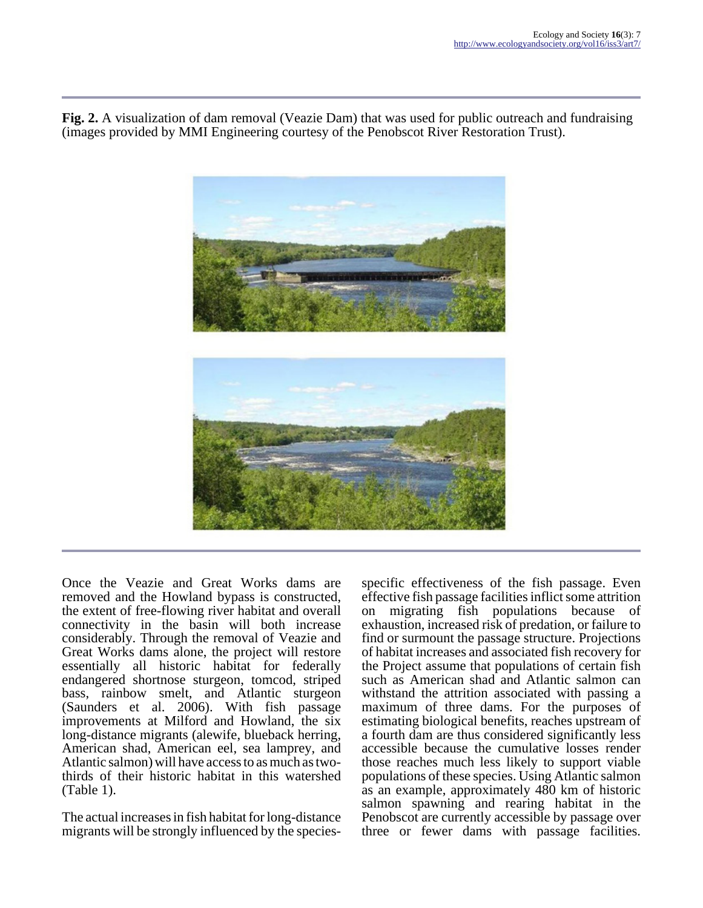**Fig. 2.** A visualization of dam removal (Veazie Dam) that was used for public outreach and fundraising (images provided by MMI Engineering courtesy of the Penobscot River Restoration Trust).



Once the Veazie and Great Works dams are removed and the Howland bypass is constructed, the extent of free-flowing river habitat and overall connectivity in the basin will both increase considerably. Through the removal of Veazie and Great Works dams alone, the project will restore essentially all historic habitat for federally endangered shortnose sturgeon, tomcod, striped bass, rainbow smelt, and Atlantic sturgeon (Saunders et al. 2006). With fish passage improvements at Milford and Howland, the six long-distance migrants (alewife, blueback herring, American shad, American eel, sea lamprey, and Atlantic salmon) will have access to as much as twothirds of their historic habitat in this watershed (Table 1).

The actual increases in fish habitat for long-distance migrants will be strongly influenced by the speciesspecific effectiveness of the fish passage. Even effective fish passage facilities inflict some attrition on migrating fish populations because of exhaustion, increased risk of predation, or failure to find or surmount the passage structure. Projections of habitat increases and associated fish recovery for the Project assume that populations of certain fish such as American shad and Atlantic salmon can withstand the attrition associated with passing a maximum of three dams. For the purposes of estimating biological benefits, reaches upstream of a fourth dam are thus considered significantly less accessible because the cumulative losses render those reaches much less likely to support viable populations of these species. Using Atlantic salmon as an example, approximately 480 km of historic salmon spawning and rearing habitat in the Penobscot are currently accessible by passage over three or fewer dams with passage facilities.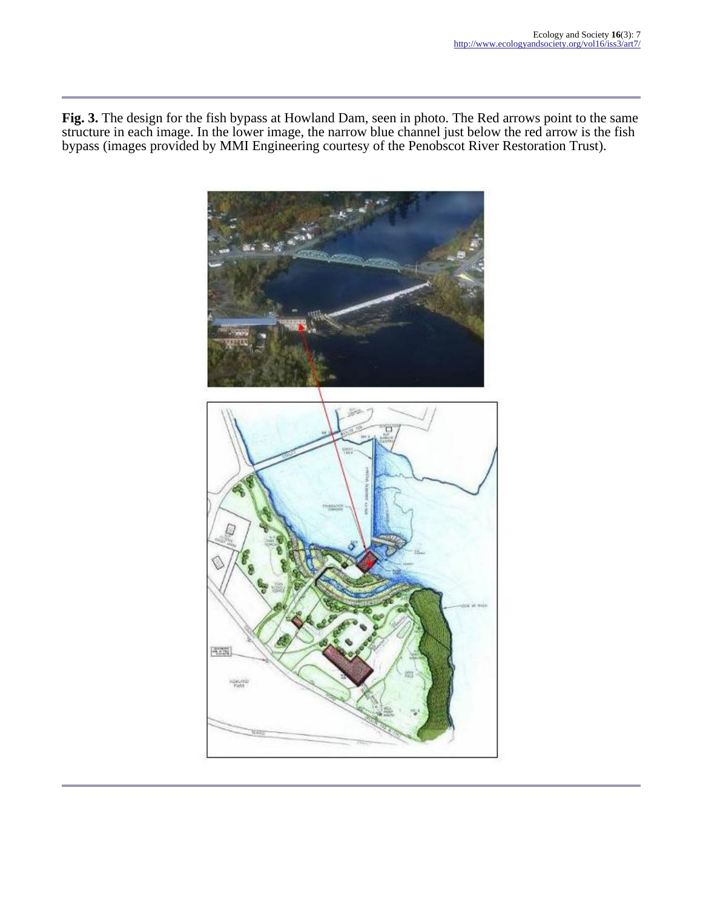**Fig. 3.** The design for the fish bypass at Howland Dam, seen in photo. The Red arrows point to the same structure in each image. In the lower image, the narrow blue channel just below the red arrow is the fish bypass (images provided by MMI Engineering courtesy of the Penobscot River Restoration Trust).

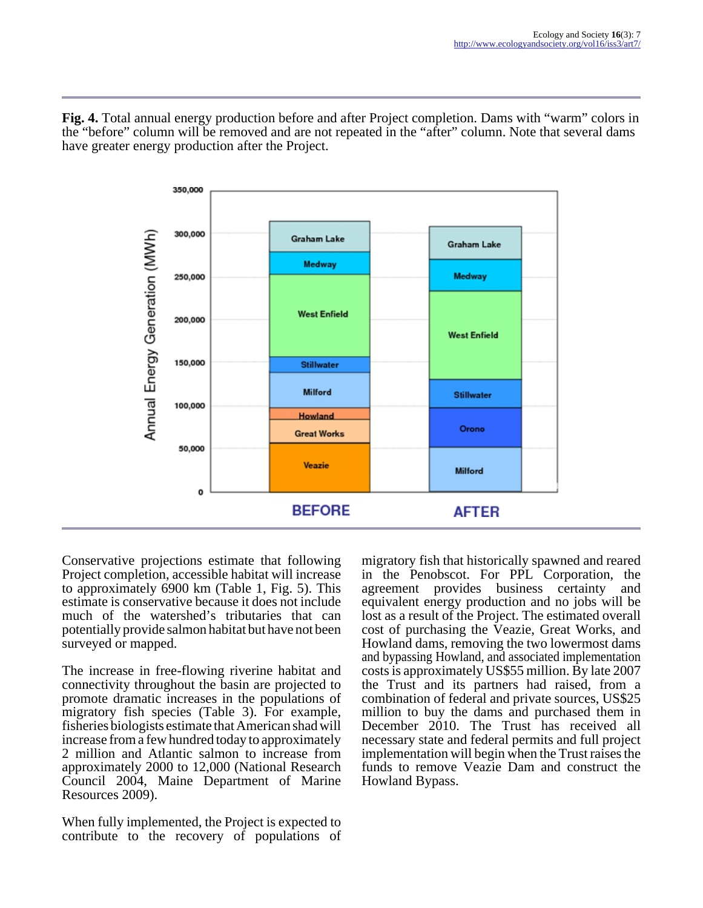**Fig. 4.** Total annual energy production before and after Project completion. Dams with "warm" colors in the "before" column will be removed and are not repeated in the "after" column. Note that several dams have greater energy production after the Project.



Conservative projections estimate that following Project completion, accessible habitat will increase to approximately 6900 km (Table 1, Fig. 5). This estimate is conservative because it does not include much of the watershed's tributaries that can potentially provide salmon habitat but have not been surveyed or mapped.

The increase in free-flowing riverine habitat and connectivity throughout the basin are projected to promote dramatic increases in the populations of migratory fish species (Table 3). For example, fisheries biologists estimate that American shad will increase from a few hundred today to approximately 2 million and Atlantic salmon to increase from approximately 2000 to 12,000 (National Research Council 2004, Maine Department of Marine Resources 2009).

When fully implemented, the Project is expected to contribute to the recovery of populations of migratory fish that historically spawned and reared in the Penobscot. For PPL Corporation, the agreement provides business certainty and equivalent energy production and no jobs will be lost as a result of the Project. The estimated overall cost of purchasing the Veazie, Great Works, and Howland dams, removing the two lowermost dams and bypassing Howland, and associated implementation costs is approximately US\$55 million. By late 2007 the Trust and its partners had raised, from a combination of federal and private sources, US\$25 million to buy the dams and purchased them in December 2010. The Trust has received all necessary state and federal permits and full project implementation will begin when the Trust raises the funds to remove Veazie Dam and construct the Howland Bypass.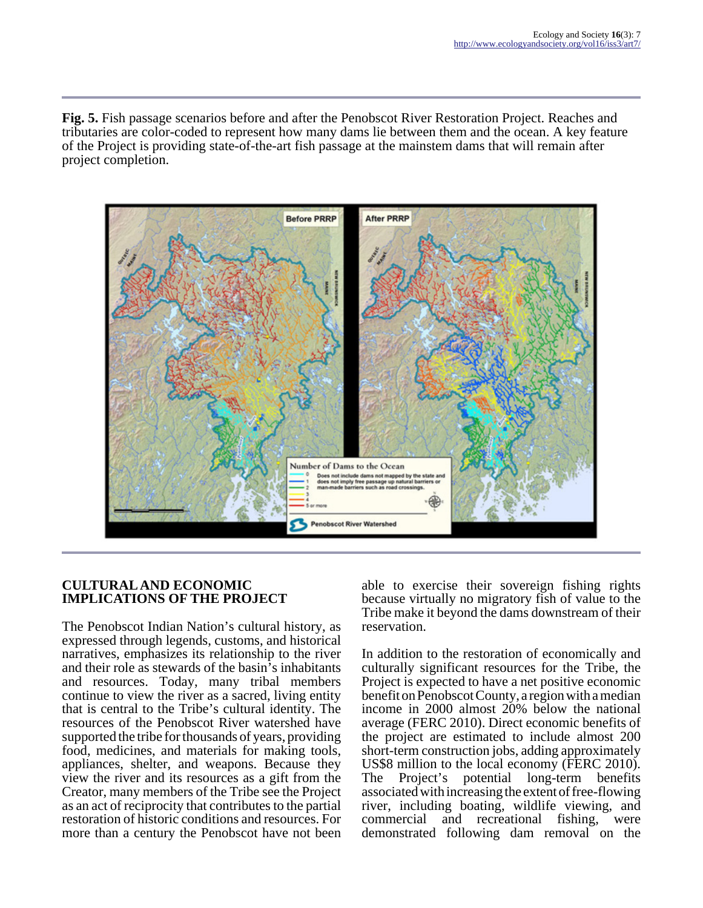**Fig. 5.** Fish passage scenarios before and after the Penobscot River Restoration Project. Reaches and tributaries are color-coded to represent how many dams lie between them and the ocean. A key feature of the Project is providing state-of-the-art fish passage at the mainstem dams that will remain after project completion.



## **CULTURAL AND ECONOMIC IMPLICATIONS OF THE PROJECT**

The Penobscot Indian Nation's cultural history, as expressed through legends, customs, and historical narratives, emphasizes its relationship to the river and their role as stewards of the basin's inhabitants and resources. Today, many tribal members continue to view the river as a sacred, living entity that is central to the Tribe's cultural identity. The resources of the Penobscot River watershed have supported the tribe for thousands of years, providing food, medicines, and materials for making tools, appliances, shelter, and weapons. Because they view the river and its resources as a gift from the Creator, many members of the Tribe see the Project as an act of reciprocity that contributes to the partial restoration of historic conditions and resources. For more than a century the Penobscot have not been able to exercise their sovereign fishing rights because virtually no migratory fish of value to the Tribe make it beyond the dams downstream of their reservation.

In addition to the restoration of economically and culturally significant resources for the Tribe, the Project is expected to have a net positive economic benefit on Penobscot County, a region with a median income in 2000 almost 20% below the national average (FERC 2010). Direct economic benefits of the project are estimated to include almost 200 short-term construction jobs, adding approximately US\$8 million to the local economy (FERC 2010). The Project's potential long-term benefits associated with increasing the extent of free-flowing river, including boating, wildlife viewing, and commercial and recreational fishing, were demonstrated following dam removal on the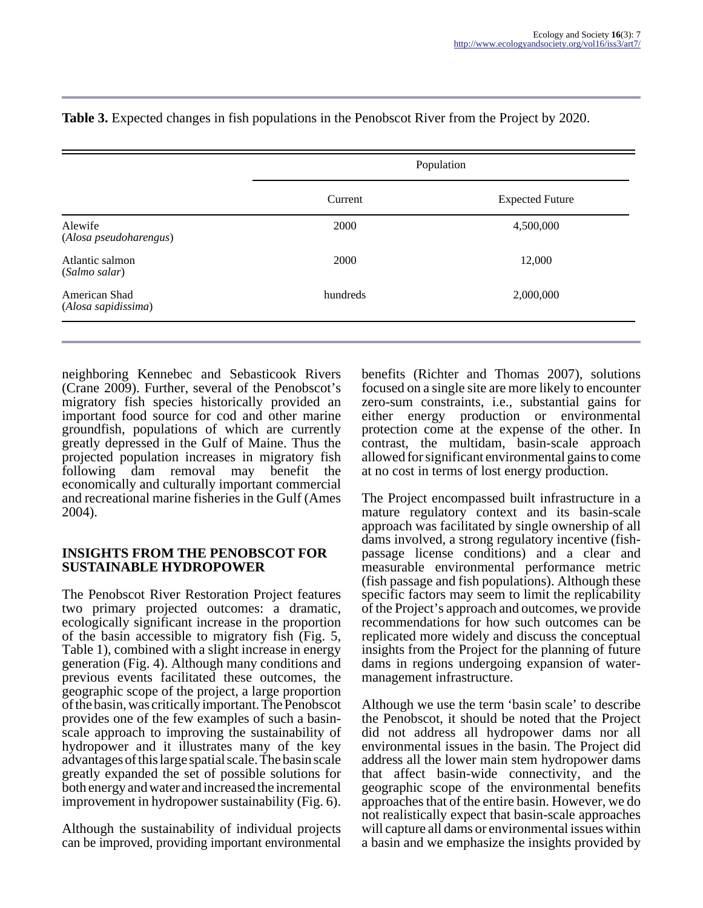|                                      | Population |                        |  |
|--------------------------------------|------------|------------------------|--|
|                                      | Current    | <b>Expected Future</b> |  |
| Alewife<br>(Alosa pseudoharengus)    | 2000       | 4,500,000              |  |
| Atlantic salmon<br>(Salmo salar)     | 2000       | 12,000                 |  |
| American Shad<br>(Alosa sapidissima) | hundreds   | 2,000,000              |  |

**Table 3.** Expected changes in fish populations in the Penobscot River from the Project by 2020.

neighboring Kennebec and Sebasticook Rivers (Crane 2009). Further, several of the Penobscot's migratory fish species historically provided an important food source for cod and other marine groundfish, populations of which are currently greatly depressed in the Gulf of Maine. Thus the projected population increases in migratory fish following dam removal may benefit the economically and culturally important commercial and recreational marine fisheries in the Gulf (Ames 2004).

#### **INSIGHTS FROM THE PENOBSCOT FOR SUSTAINABLE HYDROPOWER**

The Penobscot River Restoration Project features two primary projected outcomes: a dramatic, ecologically significant increase in the proportion of the basin accessible to migratory fish (Fig. 5, Table 1), combined with a slight increase in energy generation (Fig. 4). Although many conditions and previous events facilitated these outcomes, the geographic scope of the project, a large proportion of the basin, was critically important. The Penobscot provides one of the few examples of such a basinscale approach to improving the sustainability of hydropower and it illustrates many of the key advantages of this large spatial scale. The basin scale greatly expanded the set of possible solutions for both energy and water and increased the incremental improvement in hydropower sustainability (Fig. 6).

Although the sustainability of individual projects can be improved, providing important environmental benefits (Richter and Thomas 2007), solutions focused on a single site are more likely to encounter zero-sum constraints, i.e., substantial gains for either energy production or environmental protection come at the expense of the other. In contrast, the multidam, basin-scale approach allowed for significant environmental gains to come at no cost in terms of lost energy production.

The Project encompassed built infrastructure in a mature regulatory context and its basin-scale approach was facilitated by single ownership of all dams involved, a strong regulatory incentive (fishpassage license conditions) and a clear and measurable environmental performance metric (fish passage and fish populations). Although these specific factors may seem to limit the replicability of the Project's approach and outcomes, we provide recommendations for how such outcomes can be replicated more widely and discuss the conceptual insights from the Project for the planning of future dams in regions undergoing expansion of watermanagement infrastructure.

Although we use the term 'basin scale' to describe the Penobscot, it should be noted that the Project did not address all hydropower dams nor all environmental issues in the basin. The Project did address all the lower main stem hydropower dams that affect basin-wide connectivity, and the geographic scope of the environmental benefits approaches that of the entire basin. However, we do not realistically expect that basin-scale approaches will capture all dams or environmental issues within a basin and we emphasize the insights provided by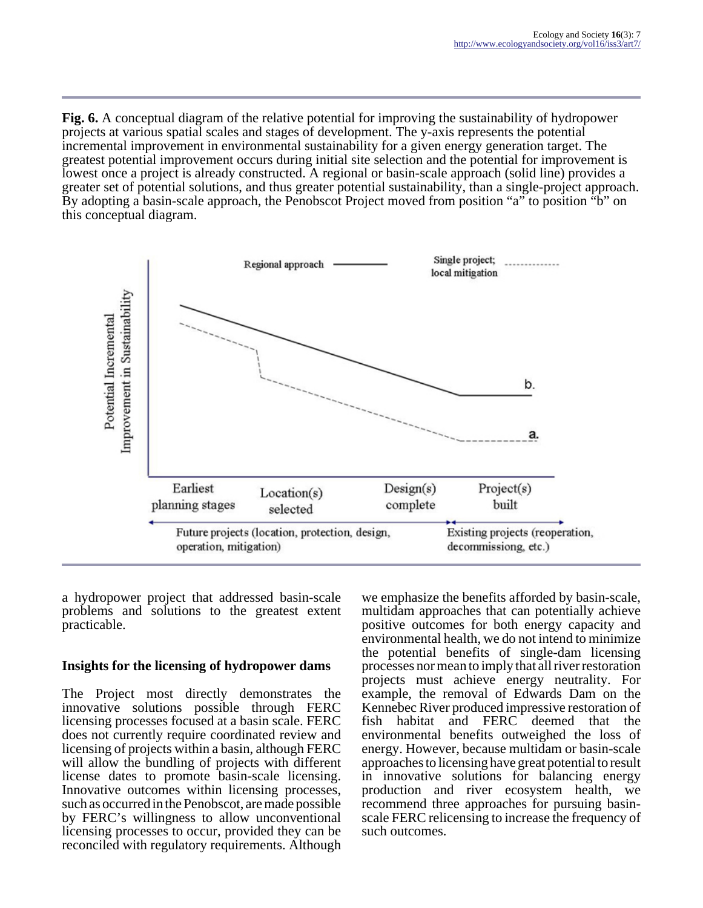**Fig. 6.** A conceptual diagram of the relative potential for improving the sustainability of hydropower projects at various spatial scales and stages of development. The y-axis represents the potential incremental improvement in environmental sustainability for a given energy generation target. The greatest potential improvement occurs during initial site selection and the potential for improvement is lowest once a project is already constructed. A regional or basin-scale approach (solid line) provides a greater set of potential solutions, and thus greater potential sustainability, than a single-project approach. By adopting a basin-scale approach, the Penobscot Project moved from position "a" to position "b" on this conceptual diagram.



a hydropower project that addressed basin-scale problems and solutions to the greatest extent practicable.

## **Insights for the licensing of hydropower dams**

The Project most directly demonstrates the innovative solutions possible through FERC licensing processes focused at a basin scale. FERC does not currently require coordinated review and licensing of projects within a basin, although FERC will allow the bundling of projects with different license dates to promote basin-scale licensing. Innovative outcomes within licensing processes, such as occurred in the Penobscot, are made possible by FERC's willingness to allow unconventional licensing processes to occur, provided they can be reconciled with regulatory requirements. Although

we emphasize the benefits afforded by basin-scale, multidam approaches that can potentially achieve positive outcomes for both energy capacity and environmental health, we do not intend to minimize the potential benefits of single-dam licensing processes nor mean to imply that all river restoration projects must achieve energy neutrality. For example, the removal of Edwards Dam on the Kennebec River produced impressive restoration of fish habitat and FERC deemed that the environmental benefits outweighed the loss of energy. However, because multidam or basin-scale approaches to licensing have great potential to result in innovative solutions for balancing energy production and river ecosystem health, we recommend three approaches for pursuing basinscale FERC relicensing to increase the frequency of such outcomes.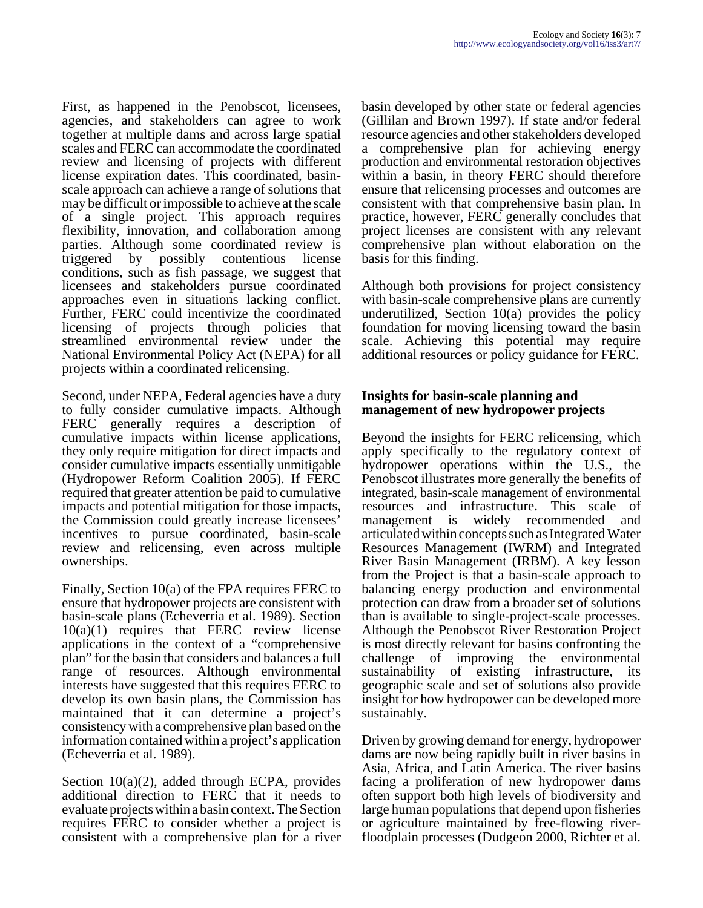First, as happened in the Penobscot, licensees, agencies, and stakeholders can agree to work together at multiple dams and across large spatial scales and FERC can accommodate the coordinated review and licensing of projects with different license expiration dates. This coordinated, basinscale approach can achieve a range of solutions that may be difficult or impossible to achieve at the scale of a single project. This approach requires flexibility, innovation, and collaboration among parties. Although some coordinated review is triggered by possibly contentious license conditions, such as fish passage, we suggest that licensees and stakeholders pursue coordinated approaches even in situations lacking conflict. Further, FERC could incentivize the coordinated licensing of projects through policies that streamlined environmental review under the National Environmental Policy Act (NEPA) for all projects within a coordinated relicensing.

Second, under NEPA, Federal agencies have a duty to fully consider cumulative impacts. Although FERC generally requires a description of cumulative impacts within license applications, they only require mitigation for direct impacts and consider cumulative impacts essentially unmitigable (Hydropower Reform Coalition 2005). If FERC required that greater attention be paid to cumulative impacts and potential mitigation for those impacts, the Commission could greatly increase licensees' incentives to pursue coordinated, basin-scale review and relicensing, even across multiple ownerships.

Finally, Section 10(a) of the FPA requires FERC to ensure that hydropower projects are consistent with basin-scale plans (Echeverria et al. 1989). Section 10(a)(1) requires that FERC review license applications in the context of a "comprehensive plan" for the basin that considers and balances a full range of resources. Although environmental interests have suggested that this requires FERC to develop its own basin plans, the Commission has maintained that it can determine a project's consistency with a comprehensive plan based on the information contained within a project's application (Echeverria et al. 1989).

Section 10(a)(2), added through ECPA, provides additional direction to FERC that it needs to evaluate projects within a basin context. The Section requires FERC to consider whether a project is consistent with a comprehensive plan for a river

basin developed by other state or federal agencies (Gillilan and Brown 1997). If state and/or federal resource agencies and other stakeholders developed a comprehensive plan for achieving energy production and environmental restoration objectives within a basin, in theory FERC should therefore ensure that relicensing processes and outcomes are consistent with that comprehensive basin plan. In practice, however, FERC generally concludes that project licenses are consistent with any relevant comprehensive plan without elaboration on the basis for this finding.

Although both provisions for project consistency with basin-scale comprehensive plans are currently underutilized, Section 10(a) provides the policy foundation for moving licensing toward the basin scale. Achieving this potential may require additional resources or policy guidance for FERC.

#### **Insights for basin-scale planning and management of new hydropower projects**

Beyond the insights for FERC relicensing, which apply specifically to the regulatory context of hydropower operations within the U.S., the Penobscot illustrates more generally the benefits of integrated, basin-scale management of environmental resources and infrastructure. This scale of management is widely recommended and articulated within concepts such as Integrated Water Resources Management (IWRM) and Integrated River Basin Management (IRBM). A key lesson from the Project is that a basin-scale approach to balancing energy production and environmental protection can draw from a broader set of solutions than is available to single-project-scale processes. Although the Penobscot River Restoration Project is most directly relevant for basins confronting the challenge of improving the environmental sustainability of existing infrastructure, its geographic scale and set of solutions also provide insight for how hydropower can be developed more sustainably.

Driven by growing demand for energy, hydropower dams are now being rapidly built in river basins in Asia, Africa, and Latin America. The river basins facing a proliferation of new hydropower dams often support both high levels of biodiversity and large human populations that depend upon fisheries or agriculture maintained by free-flowing riverfloodplain processes (Dudgeon 2000, Richter et al.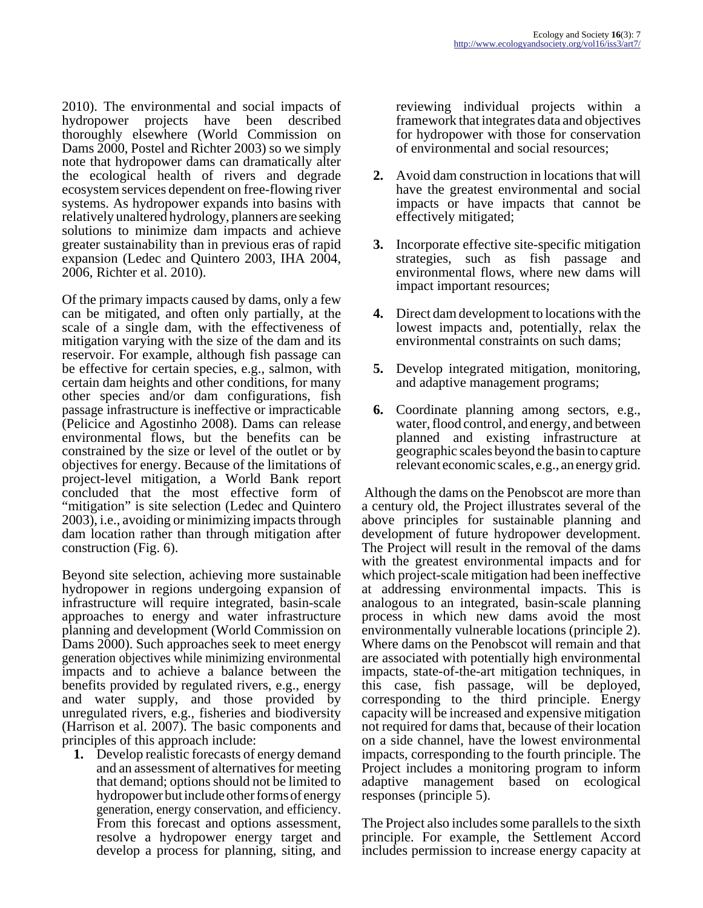2010). The environmental and social impacts of hydropower projects have been described thoroughly elsewhere (World Commission on Dams 2000, Postel and Richter 2003) so we simply note that hydropower dams can dramatically alter the ecological health of rivers and degrade ecosystem services dependent on free-flowing river systems. As hydropower expands into basins with relatively unaltered hydrology, planners are seeking solutions to minimize dam impacts and achieve greater sustainability than in previous eras of rapid expansion (Ledec and Quintero 2003, IHA 2004, 2006, Richter et al. 2010).

Of the primary impacts caused by dams, only a few can be mitigated, and often only partially, at the scale of a single dam, with the effectiveness of mitigation varying with the size of the dam and its reservoir. For example, although fish passage can be effective for certain species, e.g., salmon, with certain dam heights and other conditions, for many other species and/or dam configurations, fish passage infrastructure is ineffective or impracticable (Pelicice and Agostinho 2008). Dams can release environmental flows, but the benefits can be constrained by the size or level of the outlet or by objectives for energy. Because of the limitations of project-level mitigation, a World Bank report concluded that the most effective form of "mitigation" is site selection (Ledec and Quintero 2003), i.e., avoiding or minimizing impacts through dam location rather than through mitigation after construction (Fig. 6).

Beyond site selection, achieving more sustainable hydropower in regions undergoing expansion of infrastructure will require integrated, basin-scale approaches to energy and water infrastructure planning and development (World Commission on Dams 2000). Such approaches seek to meet energy generation objectives while minimizing environmental impacts and to achieve a balance between the benefits provided by regulated rivers, e.g., energy and water supply, and those provided by unregulated rivers, e.g., fisheries and biodiversity (Harrison et al. 2007). The basic components and principles of this approach include:

**1.** Develop realistic forecasts of energy demand and an assessment of alternatives for meeting that demand; options should not be limited to hydropower but include other forms of energy generation, energy conservation, and efficiency. From this forecast and options assessment, resolve a hydropower energy target and develop a process for planning, siting, and

reviewing individual projects within a framework that integrates data and objectives for hydropower with those for conservation of environmental and social resources;

- **2.** Avoid dam construction in locations that will have the greatest environmental and social impacts or have impacts that cannot be effectively mitigated;
- **3.** Incorporate effective site-specific mitigation strategies, such as fish passage and environmental flows, where new dams will impact important resources;
- **4.** Direct dam development to locations with the lowest impacts and, potentially, relax the environmental constraints on such dams;
- **5.** Develop integrated mitigation, monitoring, and adaptive management programs;
- **6.** Coordinate planning among sectors, e.g., water, flood control, and energy, and between planned and existing infrastructure at geographic scales beyond the basin to capture relevant economic scales, e.g., an energy grid.

 Although the dams on the Penobscot are more than a century old, the Project illustrates several of the above principles for sustainable planning and development of future hydropower development. The Project will result in the removal of the dams with the greatest environmental impacts and for which project-scale mitigation had been ineffective at addressing environmental impacts. This is analogous to an integrated, basin-scale planning process in which new dams avoid the most environmentally vulnerable locations (principle 2). Where dams on the Penobscot will remain and that are associated with potentially high environmental impacts, state-of-the-art mitigation techniques, in this case, fish passage, will be deployed, corresponding to the third principle. Energy capacity will be increased and expensive mitigation not required for dams that, because of their location on a side channel, have the lowest environmental impacts, corresponding to the fourth principle. The Project includes a monitoring program to inform adaptive management based on ecological responses (principle 5).

The Project also includes some parallels to the sixth principle. For example, the Settlement Accord includes permission to increase energy capacity at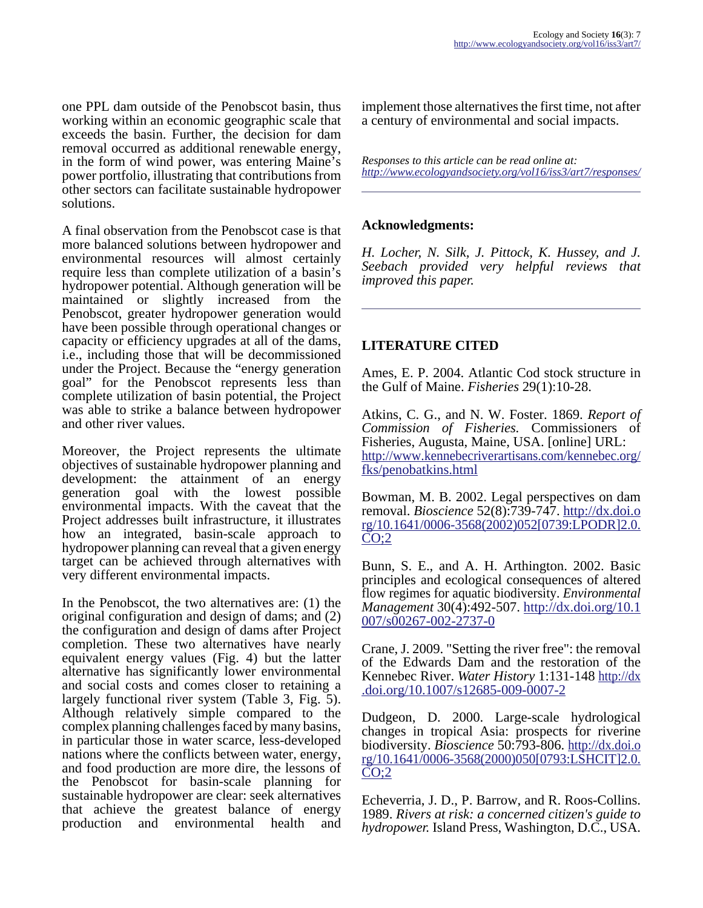one PPL dam outside of the Penobscot basin, thus working within an economic geographic scale that exceeds the basin. Further, the decision for dam removal occurred as additional renewable energy, in the form of wind power, was entering Maine's power portfolio, illustrating that contributions from other sectors can facilitate sustainable hydropower solutions.

A final observation from the Penobscot case is that more balanced solutions between hydropower and environmental resources will almost certainly require less than complete utilization of a basin's hydropower potential. Although generation will be maintained or slightly increased from the Penobscot, greater hydropower generation would have been possible through operational changes or capacity or efficiency upgrades at all of the dams, i.e., including those that will be decommissioned under the Project. Because the "energy generation goal" for the Penobscot represents less than complete utilization of basin potential, the Project was able to strike a balance between hydropower and other river values.

Moreover, the Project represents the ultimate objectives of sustainable hydropower planning and development: the attainment of an energy generation goal with the lowest possible environmental impacts. With the caveat that the Project addresses built infrastructure, it illustrates how an integrated, basin-scale approach to hydropower planning can reveal that a given energy target can be achieved through alternatives with very different environmental impacts.

In the Penobscot, the two alternatives are: (1) the original configuration and design of dams; and (2) the configuration and design of dams after Project completion. These two alternatives have nearly equivalent energy values (Fig. 4) but the latter alternative has significantly lower environmental and social costs and comes closer to retaining a largely functional river system (Table 3, Fig. 5). Although relatively simple compared to the complex planning challenges faced by many basins, in particular those in water scarce, less-developed nations where the conflicts between water, energy, and food production are more dire, the lessons of the Penobscot for basin-scale planning for sustainable hydropower are clear: seek alternatives that achieve the greatest balance of energy production and environmental health and

implement those alternatives the first time, not after a century of environmental and social impacts.

*Responses to this article can be read online at: <http://www.ecologyandsociety.org/vol16/iss3/art7/responses/>*

# **Acknowledgments:**

*H. Locher, N. Silk, J. Pittock, K. Hussey, and J. Seebach provided very helpful reviews that improved this paper.* 

# **LITERATURE CITED**

Ames, E. P. 2004. Atlantic Cod stock structure in the Gulf of Maine. *Fisheries* 29(1):10-28.

Atkins, C. G., and N. W. Foster. 1869. *Report of Commission of Fisheries.* Commissioners of Fisheries, Augusta, Maine, USA. [online] URL: [http://www.kennebecriverartisans.com/kennebec.org/](http://www.kennebecriverartisans.com/kennebec.org/fks/penobatkins.html) [fks/penobatkins.html](http://www.kennebecriverartisans.com/kennebec.org/fks/penobatkins.html)

Bowman, M. B. 2002. Legal perspectives on dam removal. *Bioscience* 52(8):739-747. [http://dx.doi.o](http://dx.doi.org/10.1641/0006-3568(2002)052[0739:LPODR]2.0.CO;2) rg/10.1641/0006-3568(2002)052[0739:LPODR]2.0.  $CO:2$ 

Bunn, S. E., and A. H. Arthington. 2002. Basic principles and ecological consequences of altered flow regimes for aquatic biodiversity. *Environmental Management* 30(4):492-507. [http://dx.doi.org/10.1](http://dx.doi.org/10.1007/s00267-002-2737-0) [007/s00267-002-2737-0](http://dx.doi.org/10.1007/s00267-002-2737-0)

Crane, J. 2009. "Setting the river free": the removal of the Edwards Dam and the restoration of the Kennebec River. *Water History* 1:131-148 [http://dx](http://dx.doi.org/10.1007/s12685-009-0007-2) [.doi.org/10.1007/s12685-009-0007-2](http://dx.doi.org/10.1007/s12685-009-0007-2)

Dudgeon, D. 2000. Large-scale hydrological changes in tropical Asia: prospects for riverine biodiversity. *Bioscience* 50:793-806. [http://dx.doi.o](http://dx.doi.org/10.1641/0006-3568(2000)050[0793:LSHCIT]2.0.CO;2) rg/10.1641/0006-3568(2000)050[0793:LSHCIT]2.0.  $CO:2$ 

Echeverria, J. D., P. Barrow, and R. Roos-Collins. 1989. *Rivers at risk: a concerned citizen's guide to hydropower.* Island Press, Washington, D.C., USA.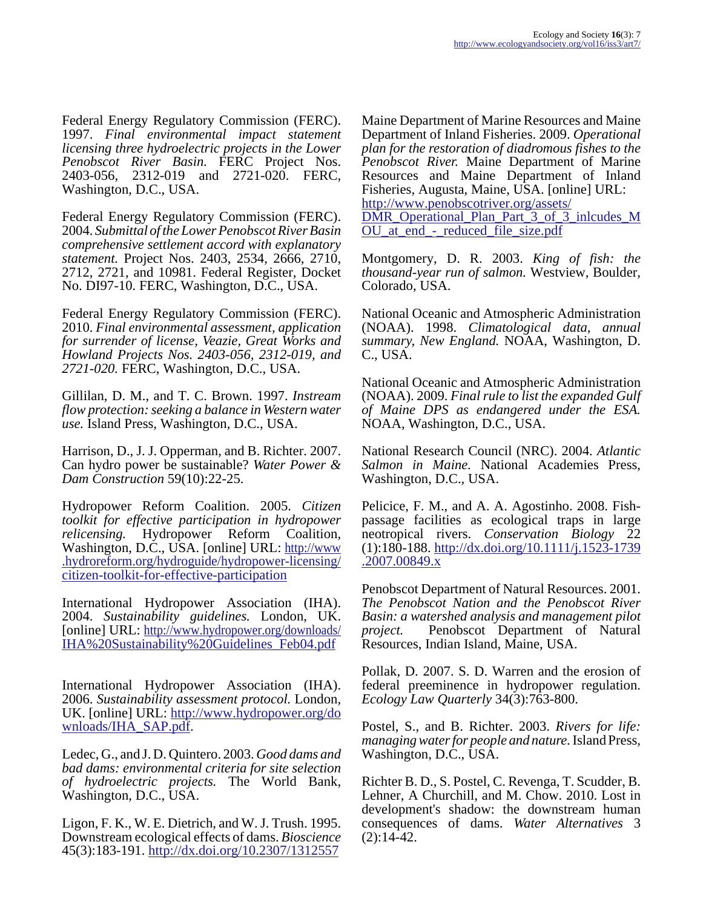Federal Energy Regulatory Commission (FERC). 1997. *Final environmental impact statement licensing three hydroelectric projects in the Lower Penobscot River Basin.* FERC Project Nos. 2403-056, 2312-019 and 2721-020. FERC, Washington, D.C., USA.

Federal Energy Regulatory Commission (FERC). 2004. *Submittal of the Lower Penobscot River Basin comprehensive settlement accord with explanatory statement.* Project Nos. 2403, 2534, 2666, 2710, 2712, 2721, and 10981. Federal Register, Docket No. DI97-10. FERC, Washington, D.C., USA.

Federal Energy Regulatory Commission (FERC). 2010. *Final environmental assessment, application for surrender of license, Veazie, Great Works and Howland Projects Nos. 2403-056, 2312-019, and 2721-020.* FERC, Washington, D.C., USA.

Gillilan, D. M., and T. C. Brown. 1997. *Instream flow protection: seeking a balance in Western water use.* Island Press, Washington, D.C., USA.

Harrison, D., J. J. Opperman, and B. Richter. 2007. Can hydro power be sustainable? *Water Power & Dam Construction* 59(10):22-25.

Hydropower Reform Coalition. 2005. *Citizen toolkit for effective participation in hydropower relicensing.* Hydropower Reform Coalition, Washington, D.C., USA. [online] URL: [http://www](http://www.hydroreform.org/hydroguide/hydropower-licensing/citizen-toolkit-for-effective-participation). [.hydroreform.org/hydroguide/hydropower-licensing/](http://www.hydroreform.org/hydroguide/hydropower-licensing/citizen-toolkit-for-effective-participation) [citizen-toolkit-for-effective-participation](http://www.hydroreform.org/hydroguide/hydropower-licensing/citizen-toolkit-for-effective-participation)

International Hydropower Association (IHA). 2004. *Sustainability guidelines.* London, UK. [online] URL: [http://www.hydropower.org/downloads/](http://www.hydropower.org/downloads/IHA%20Sustainability%20Guidelines_Feb04.pdf) [IHA%20Sustainability%20Guidelines\\_Feb04.pdf](http://www.hydropower.org/downloads/IHA%20Sustainability%20Guidelines_Feb04.pdf)

International Hydropower Association (IHA). 2006. *Sustainability assessment protocol.* London, UK. [online] URL: [http://www.hydropower.org/do](http://www.hydropower.org/downloads/IHA_SAP.pdf) [wnloads/IHA\\_SAP.pdf.](http://www.hydropower.org/downloads/IHA_SAP.pdf)

Ledec, G., and J. D. Quintero. 2003. *Good dams and bad dams: environmental criteria for site selection of hydroelectric projects.* The World Bank, Washington, D.C., USA.

Ligon, F. K., W. E. Dietrich, and W. J. Trush. 1995. Downstream ecological effects of dams. *Bioscience* 45(3):183-191.<http://dx.doi.org/10.2307/1312557>

Maine Department of Marine Resources and Maine Department of Inland Fisheries. 2009. *Operational plan for the restoration of diadromous fishes to the Penobscot River.* Maine Department of Marine Resources and Maine Department of Inland Fisheries, Augusta, Maine, USA. [online] URL: [http://www.penobscotriver.org/assets/](http://www.penobscotriver.org/assets/DMR_Operational_Plan_Part_3_of_3_inlcudes_MOU_at_end_-_reduced_file_size.pdf) [DMR\\_Operational\\_Plan\\_Part\\_3\\_of\\_3\\_inlcudes\\_M](http://www.penobscotriver.org/assets/DMR_Operational_Plan_Part_3_of_3_inlcudes_MOU_at_end_-_reduced_file_size.pdf) OU at end - reduced file size.pdf

Montgomery, D. R. 2003. *King of fish: the thousand-year run of salmon.* Westview, Boulder, Colorado, USA.

National Oceanic and Atmospheric Administration (NOAA). 1998. *Climatological data, annual summary, New England.* NOAA, Washington, D. C., USA.

National Oceanic and Atmospheric Administration (NOAA). 2009. *Final rule to list the expanded Gulf of Maine DPS as endangered under the ESA.* NOAA, Washington, D.C., USA.

National Research Council (NRC). 2004. *Atlantic Salmon in Maine.* National Academies Press, Washington, D.C., USA.

Pelicice, F. M., and A. A. Agostinho. 2008. Fishpassage facilities as ecological traps in large neotropical rivers. *Conservation Biology* 22 (1):180-188. [http://dx.doi.org/10.1111/j.1523-1739](http://dx.doi.org/10.1111/j.1523-1739.2007.00849.x) [.2007.00849.x](http://dx.doi.org/10.1111/j.1523-1739.2007.00849.x)

Penobscot Department of Natural Resources. 2001. *The Penobscot Nation and the Penobscot River Basin: a watershed analysis and management pilot project.* Penobscot Department of Natural Resources, Indian Island, Maine, USA.

Pollak, D. 2007. S. D. Warren and the erosion of federal preeminence in hydropower regulation. *Ecology Law Quarterly* 34(3):763-800.

Postel, S., and B. Richter. 2003. *Rivers for life: managing water for people and nature.* Island Press, Washington, D.C., USA.

Richter B. D., S. Postel, C. Revenga, T. Scudder, B. Lehner, A Churchill, and M. Chow. 2010. Lost in development's shadow: the downstream human consequences of dams. *Water Alternatives* 3  $(2):14-42.$